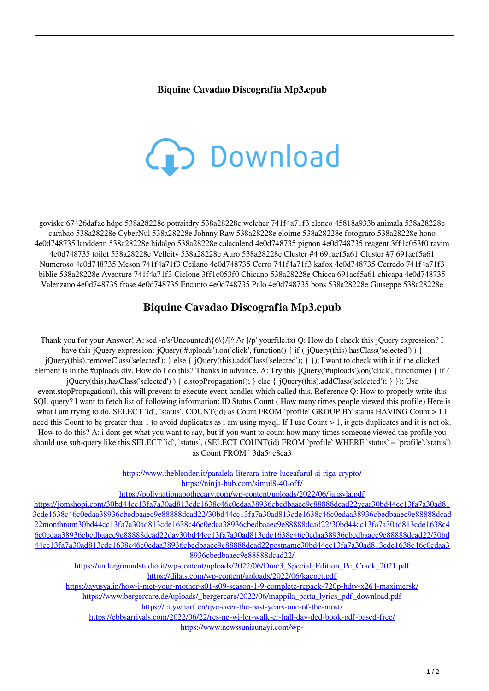## **Biquine Cavadao Discografia Mp3.epub**



goviske 67426dafae hdpc 538a28228e potraitdry 538a28228e welcher 741f4a71f3 elenco 45818a933b animala 538a28228e carabao 538a28228e CyberNul 538a28228e Johnny Raw 538a28228e eloime 538a28228e fotograro 538a28228e hono 4e0d748735 landdenn 538a28228e hidalgo 538a28228e calacalend 4e0d748735 pignon 4e0d748735 reagent 3ff1c053f0 ravim 4e0d748735 toilet 538a28228e Velleity 538a28228e Auro 538a28228e Cluster #4 691acf5a61 Cluster #7 691acf5a61 Numeroso 4e0d748735 Meson 741f4a71f3 Ceilano 4e0d748735 Cerro 741f4a71f3 kafox 4e0d748735 Cerredo 741f4a71f3 biblie 538a28228e Aventure 741f4a71f3 Ciclone 3ff1c053f0 Chicano 538a28228e Chicca 691acf5a61 chicapa 4e0d748735 Valenzano 4e0d748735 frase 4e0d748735 Encanto 4e0d748735 Palo 4e0d748735 bons 538a28228e Giuseppe 538a28228e

## **Biquine Cavadao Discografia Mp3.epub**

Thank you for your Answer! A: sed -n's/Uncounted\{6\}/[^ /\r ]/p' yourfile.txt Q: How do I check this jQuery expression? I have this jQuery expression: jQuery('#uploads').on('click', function() { if ( jQuery(this).hasClass('selected') ) { jQuery(this).removeClass('selected'); } else { jQuery(this).addClass('selected'); } }); I want to check with it if the clicked element is in the #uploads div. How do I do this? Thanks in advance. A: Try this jQuery('#uploads').on('click', function(e) { if ( jQuery(this).hasClass('selected') ) { e.stopPropagation(); } else { jQuery(this).addClass('selected'); } }); Use event.stopPropagation(), this will prevent to execute event handler which called this. Reference Q: How to properly write this SQL query? I want to fetch list of following information: ID Status Count ( How many times people viewed this profile) Here is what i am trying to do. SELECT `id`, `status`, COUNT(id) as Count FROM `profile` GROUP BY status HAVING Count > 1 I need this Count to be greater than 1 to avoid duplicates as i am using mysql. If I use Count > 1, it gets duplicates and it is not ok. How to do this? A: i dont get what you want to say, but if you want to count how many times someone viewed the profile you should use sub-query like this SELECT `id`, `status`, (SELECT COUNT(id) FROM `profile` WHERE `status` = `profile`.`status`) as Count FROM ` 3da54e8ca3

<https://www.theblender.it/paralela-literara-intre-luceafarul-si-riga-crypto/>

<https://ninja-hub.com/simul8-40-off/>

<https://pollynationapothecary.com/wp-content/uploads/2022/06/jansvla.pdf>

[https://jomshopi.com/30bd44cc13fa7a30ad813cde1638c46c0edaa38936cbedbaaec9e88888dcad22year30bd44cc13fa7a30ad81](https://jomshopi.com/30bd44cc13fa7a30ad813cde1638c46c0edaa38936cbedbaaec9e88888dcad22year30bd44cc13fa7a30ad813cde1638c46c0edaa38936cbedbaaec9e88888dcad22/30bd44cc13fa7a30ad813cde1638c46c0edaa38936cbedbaaec9e88888dcad22monthnum30bd44cc13fa7a30ad813cde1638c46c0edaa38936cbedbaaec9e88888dcad22/30bd44cc13fa7a30ad813cde1638c46c0edaa38936cbedbaaec9e88888dcad22day30bd44cc13fa7a30ad813cde1638c46c0edaa38936cbedbaaec9e88888dcad22/30bd44cc13fa7a30ad813cde1638c46c0edaa38936cbedbaaec9e88888dcad22postname30bd44cc13fa7a30ad813cde1638c46c0edaa38936cbedbaaec9e88888dcad22/) [3cde1638c46c0edaa38936cbedbaaec9e88888dcad22/30bd44cc13fa7a30ad813cde1638c46c0edaa38936cbedbaaec9e88888dcad](https://jomshopi.com/30bd44cc13fa7a30ad813cde1638c46c0edaa38936cbedbaaec9e88888dcad22year30bd44cc13fa7a30ad813cde1638c46c0edaa38936cbedbaaec9e88888dcad22/30bd44cc13fa7a30ad813cde1638c46c0edaa38936cbedbaaec9e88888dcad22monthnum30bd44cc13fa7a30ad813cde1638c46c0edaa38936cbedbaaec9e88888dcad22/30bd44cc13fa7a30ad813cde1638c46c0edaa38936cbedbaaec9e88888dcad22day30bd44cc13fa7a30ad813cde1638c46c0edaa38936cbedbaaec9e88888dcad22/30bd44cc13fa7a30ad813cde1638c46c0edaa38936cbedbaaec9e88888dcad22postname30bd44cc13fa7a30ad813cde1638c46c0edaa38936cbedbaaec9e88888dcad22/) [22monthnum30bd44cc13fa7a30ad813cde1638c46c0edaa38936cbedbaaec9e88888dcad22/30bd44cc13fa7a30ad813cde1638c4](https://jomshopi.com/30bd44cc13fa7a30ad813cde1638c46c0edaa38936cbedbaaec9e88888dcad22year30bd44cc13fa7a30ad813cde1638c46c0edaa38936cbedbaaec9e88888dcad22/30bd44cc13fa7a30ad813cde1638c46c0edaa38936cbedbaaec9e88888dcad22monthnum30bd44cc13fa7a30ad813cde1638c46c0edaa38936cbedbaaec9e88888dcad22/30bd44cc13fa7a30ad813cde1638c46c0edaa38936cbedbaaec9e88888dcad22day30bd44cc13fa7a30ad813cde1638c46c0edaa38936cbedbaaec9e88888dcad22/30bd44cc13fa7a30ad813cde1638c46c0edaa38936cbedbaaec9e88888dcad22postname30bd44cc13fa7a30ad813cde1638c46c0edaa38936cbedbaaec9e88888dcad22/) [6c0edaa38936cbedbaaec9e88888dcad22day30bd44cc13fa7a30ad813cde1638c46c0edaa38936cbedbaaec9e88888dcad22/30bd](https://jomshopi.com/30bd44cc13fa7a30ad813cde1638c46c0edaa38936cbedbaaec9e88888dcad22year30bd44cc13fa7a30ad813cde1638c46c0edaa38936cbedbaaec9e88888dcad22/30bd44cc13fa7a30ad813cde1638c46c0edaa38936cbedbaaec9e88888dcad22monthnum30bd44cc13fa7a30ad813cde1638c46c0edaa38936cbedbaaec9e88888dcad22/30bd44cc13fa7a30ad813cde1638c46c0edaa38936cbedbaaec9e88888dcad22day30bd44cc13fa7a30ad813cde1638c46c0edaa38936cbedbaaec9e88888dcad22/30bd44cc13fa7a30ad813cde1638c46c0edaa38936cbedbaaec9e88888dcad22postname30bd44cc13fa7a30ad813cde1638c46c0edaa38936cbedbaaec9e88888dcad22/) [44cc13fa7a30ad813cde1638c46c0edaa38936cbedbaaec9e88888dcad22postname30bd44cc13fa7a30ad813cde1638c46c0edaa3](https://jomshopi.com/30bd44cc13fa7a30ad813cde1638c46c0edaa38936cbedbaaec9e88888dcad22year30bd44cc13fa7a30ad813cde1638c46c0edaa38936cbedbaaec9e88888dcad22/30bd44cc13fa7a30ad813cde1638c46c0edaa38936cbedbaaec9e88888dcad22monthnum30bd44cc13fa7a30ad813cde1638c46c0edaa38936cbedbaaec9e88888dcad22/30bd44cc13fa7a30ad813cde1638c46c0edaa38936cbedbaaec9e88888dcad22day30bd44cc13fa7a30ad813cde1638c46c0edaa38936cbedbaaec9e88888dcad22/30bd44cc13fa7a30ad813cde1638c46c0edaa38936cbedbaaec9e88888dcad22postname30bd44cc13fa7a30ad813cde1638c46c0edaa38936cbedbaaec9e88888dcad22/) [8936cbedbaaec9e88888dcad22/](https://jomshopi.com/30bd44cc13fa7a30ad813cde1638c46c0edaa38936cbedbaaec9e88888dcad22year30bd44cc13fa7a30ad813cde1638c46c0edaa38936cbedbaaec9e88888dcad22/30bd44cc13fa7a30ad813cde1638c46c0edaa38936cbedbaaec9e88888dcad22monthnum30bd44cc13fa7a30ad813cde1638c46c0edaa38936cbedbaaec9e88888dcad22/30bd44cc13fa7a30ad813cde1638c46c0edaa38936cbedbaaec9e88888dcad22day30bd44cc13fa7a30ad813cde1638c46c0edaa38936cbedbaaec9e88888dcad22/30bd44cc13fa7a30ad813cde1638c46c0edaa38936cbedbaaec9e88888dcad22postname30bd44cc13fa7a30ad813cde1638c46c0edaa38936cbedbaaec9e88888dcad22/)

[https://undergroundstudio.it/wp-content/uploads/2022/06/Dmc3\\_Special\\_Edition\\_Pc\\_Crack\\_2021.pdf](https://undergroundstudio.it/wp-content/uploads/2022/06/Dmc3_Special_Edition_Pc_Crack_2021.pdf) <https://dilats.com/wp-content/uploads/2022/06/kacpet.pdf>

<https://ayusya.in/how-i-met-your-mother-s01-s09-season-1-9-complete-repack-720p-hdtv-x264-maximersk/>

[https://www.bergercare.de/uploads/\\_bergercare/2022/06/mappila\\_pattu\\_lyrics\\_pdf\\_download.pdf](https://www.bergercare.de/uploads/_bergercare/2022/06/mappila_pattu_lyrics_pdf_download.pdf)

<https://citywharf.cn/qvc-over-the-past-years-one-of-the-most/>

<https://ebbsarrivals.com/2022/06/22/res-ne-wi-ler-walk-er-hall-day-ded-book-pdf-based-free/>

[https://www.newssunisunayi.com/wp-](https://www.newssunisunayi.com/wp-content/uploads/2022/06/Windows_Vista_Ultimate_32bitonly_80_MB_Super_Compressed.pdf)